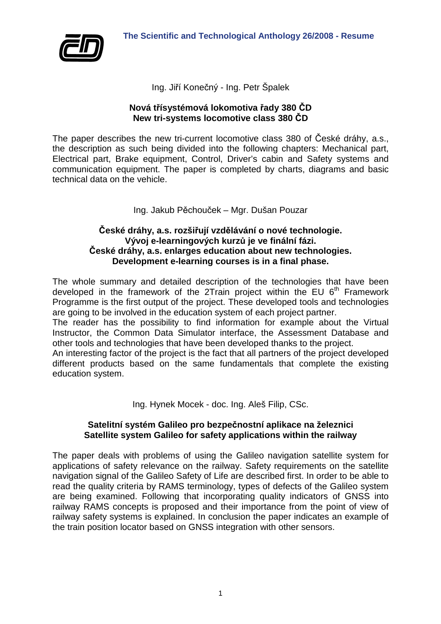

Ing. Jiří Konečný - Ing. Petr Špalek

## **Nová třísystémová lokomotiva řady 380 ČD New tri-systems locomotive class 380 ČD**

The paper describes the new tri-current locomotive class 380 of České dráhy, a.s., the description as such being divided into the following chapters: Mechanical part, Electrical part, Brake equipment, Control, Driver's cabin and Safety systems and communication equipment. The paper is completed by charts, diagrams and basic technical data on the vehicle.

# Ing. Jakub Pěchouček – Mgr. Dušan Pouzar

### **České dráhy, a.s. rozšiřují vzdělávání o nové technologie. Vývoj e-learningových kurzů je ve finální fázi. České dráhy, a.s. enlarges education about new technologies. Development e-learning courses is in a final phase.**

The whole summary and detailed description of the technologies that have been developed in the framework of the 2Train project within the EU 6<sup>th</sup> Framework Programme is the first output of the project. These developed tools and technologies are going to be involved in the education system of each project partner.

The reader has the possibility to find information for example about the Virtual Instructor, the Common Data Simulator interface, the Assessment Database and other tools and technologies that have been developed thanks to the project.

An interesting factor of the project is the fact that all partners of the project developed different products based on the same fundamentals that complete the existing education system.

Ing. Hynek Mocek - doc. Ing. Aleš Filip, CSc.

# **Satelitní systém Galileo pro bezpečnostní aplikace na železnici Satellite system Galileo for safety applications within the railway**

The paper deals with problems of using the Galileo navigation satellite system for applications of safety relevance on the railway. Safety requirements on the satellite navigation signal of the Galileo Safety of Life are described first. In order to be able to read the quality criteria by RAMS terminology, types of defects of the Galileo system are being examined. Following that incorporating quality indicators of GNSS into railway RAMS concepts is proposed and their importance from the point of view of railway safety systems is explained. In conclusion the paper indicates an example of the train position locator based on GNSS integration with other sensors.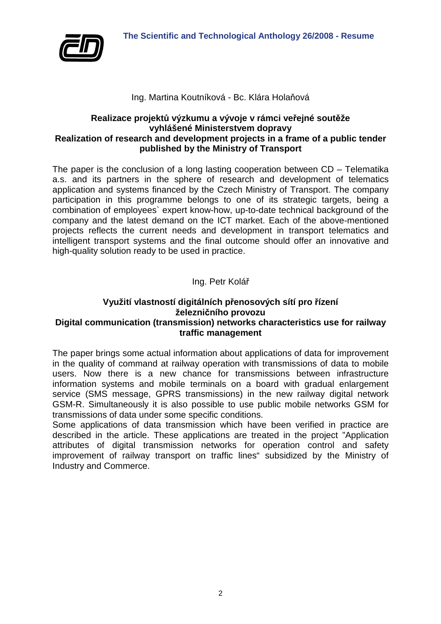

## Ing. Martina Koutníková - Bc. Klára Holaňová

#### **Realizace projektů výzkumu a vývoje v rámci veřejné soutěže vyhlášené Ministerstvem dopravy Realization of research and development projects in a frame of a public tender published by the Ministry of Transport**

The paper is the conclusion of a long lasting cooperation between CD – Telematika a.s. and its partners in the sphere of research and development of telematics application and systems financed by the Czech Ministry of Transport. The company participation in this programme belongs to one of its strategic targets, being a combination of employees` expert know-how, up-to-date technical background of the company and the latest demand on the ICT market. Each of the above-mentioned projects reflects the current needs and development in transport telematics and intelligent transport systems and the final outcome should offer an innovative and high-quality solution ready to be used in practice.

# Ing. Petr Kolář

#### **Využití vlastností digitálních přenosových sítí pro řízení železničního provozu Digital communication (transmission) networks characteristics use for railway traffic management**

The paper brings some actual information about applications of data for improvement in the quality of command at railway operation with transmissions of data to mobile users. Now there is a new chance for transmissions between infrastructure information systems and mobile terminals on a board with gradual enlargement service (SMS message, GPRS transmissions) in the new railway digital network GSM-R. Simultaneously it is also possible to use public mobile networks GSM for transmissions of data under some specific conditions.

Some applications of data transmission which have been verified in practice are described in the article. These applications are treated in the project "Application attributes of digital transmission networks for operation control and safety improvement of railway transport on traffic lines" subsidized by the Ministry of Industry and Commerce.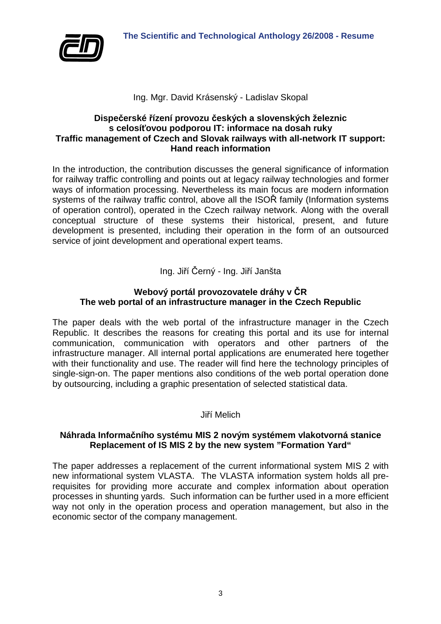

### Ing. Mgr. David Krásenský - Ladislav Skopal

### **Dispečerské řízení provozu českých a slovenských železnic s celosíťovou podporou IT: informace na dosah ruky Traffic management of Czech and Slovak railways with all-network IT support: Hand reach information**

In the introduction, the contribution discusses the general significance of information for railway traffic controlling and points out at legacy railway technologies and former ways of information processing. Nevertheless its main focus are modern information systems of the railway traffic control, above all the ISOŘ family (Information systems of operation control), operated in the Czech railway network. Along with the overall conceptual structure of these systems their historical, present, and future development is presented, including their operation in the form of an outsourced service of joint development and operational expert teams.

# Ing. Jiří Černý - Ing. Jiří Janšta

#### **Webový portál provozovatele dráhy v ČR The web portal of an infrastructure manager in the Czech Republic**

The paper deals with the web portal of the infrastructure manager in the Czech Republic. It describes the reasons for creating this portal and its use for internal communication, communication with operators and other partners of the infrastructure manager. All internal portal applications are enumerated here together with their functionality and use. The reader will find here the technology principles of single-sign-on. The paper mentions also conditions of the web portal operation done by outsourcing, including a graphic presentation of selected statistical data.

### Jiří Melich

#### **Náhrada Informačního systému MIS 2 novým systémem vlakotvorná stanice Replacement of IS MIS 2 by the new system "Formation Yard"**

The paper addresses a replacement of the current informational system MIS 2 with new informational system VLASTA. The VLASTA information system holds all prerequisites for providing more accurate and complex information about operation processes in shunting yards. Such information can be further used in a more efficient way not only in the operation process and operation management, but also in the economic sector of the company management.